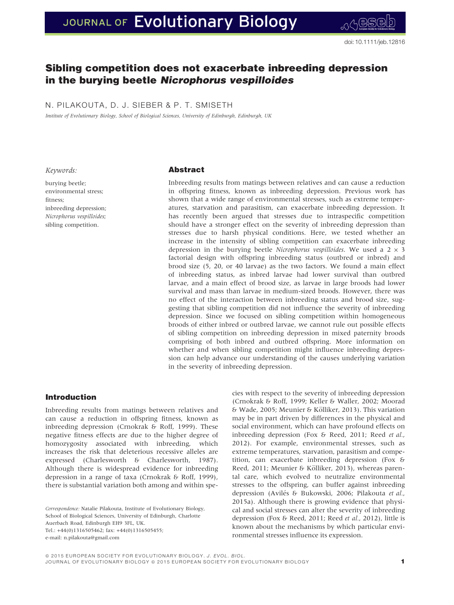# JOURNAL OF Evolutionary Biology

# Sibling competition does not exacerbate inbreeding depression in the burying beetle Nicrophorus vespilloides

N. PILAKOUTA, D. J. SIEBER & P. T. SMISETH

Institute of Evolutionary Biology, School of Biological Sciences, University of Edinburgh, Edinburgh, UK

#### Keywords:

burying beetle; environmental stress; fitness; inbreeding depression; Nicrophorus vespilloides; sibling competition.

# Abstract

Inbreeding results from matings between relatives and can cause a reduction in offspring fitness, known as inbreeding depression. Previous work has shown that a wide range of environmental stresses, such as extreme temperatures, starvation and parasitism, can exacerbate inbreeding depression. It has recently been argued that stresses due to intraspecific competition should have a stronger effect on the severity of inbreeding depression than stresses due to harsh physical conditions. Here, we tested whether an increase in the intensity of sibling competition can exacerbate inbreeding depression in the burying beetle Nicrophorus vespilloides. We used a  $2 \times 3$ factorial design with offspring inbreeding status (outbred or inbred) and brood size (5, 20, or 40 larvae) as the two factors. We found a main effect of inbreeding status, as inbred larvae had lower survival than outbred larvae, and a main effect of brood size, as larvae in large broods had lower survival and mass than larvae in medium-sized broods. However, there was no effect of the interaction between inbreeding status and brood size, suggesting that sibling competition did not influence the severity of inbreeding depression. Since we focused on sibling competition within homogeneous broods of either inbred or outbred larvae, we cannot rule out possible effects of sibling competition on inbreeding depression in mixed paternity broods comprising of both inbred and outbred offspring. More information on whether and when sibling competition might influence inbreeding depression can help advance our understanding of the causes underlying variation in the severity of inbreeding depression.

#### Introduction

Inbreeding results from matings between relatives and can cause a reduction in offspring fitness, known as inbreeding depression (Crnokrak & Roff, 1999). These negative fitness effects are due to the higher degree of homozygosity associated with inbreeding, which increases the risk that deleterious recessive alleles are expressed (Charlesworth & Charlesworth, 1987). Although there is widespread evidence for inbreeding depression in a range of taxa (Crnokrak & Roff, 1999), there is substantial variation both among and within spe-

Correspondence: Natalie Pilakouta, Institute of Evolutionary Biology, School of Biological Sciences, University of Edinburgh, Charlotte Auerbach Road, Edinburgh EH9 3FL, UK. Tel.: +44(0)1316505462; fax: +44(0)1316505455; e-mail: n.pilakouta@gmail.com

cies with respect to the severity of inbreeding depression (Crnokrak & Roff, 1999; Keller & Waller, 2002; Moorad & Wade, 2005; Meunier & Kolliker, 2013). This variation € may be in part driven by differences in the physical and social environment, which can have profound effects on inbreeding depression (Fox & Reed, 2011; Reed et al., 2012). For example, environmental stresses, such as extreme temperatures, starvation, parasitism and competition, can exacerbate inbreeding depression (Fox & Reed, 2011; Meunier & Kölliker, 2013), whereas parental care, which evolved to neutralize environmental stresses to the offspring, can buffer against inbreeding depression (Avilés & Bukowski, 2006; Pilakouta et al., 2015a). Although there is growing evidence that physical and social stresses can alter the severity of inbreeding depression (Fox & Reed, 2011; Reed et al., 2012), little is known about the mechanisms by which particular environmental stresses influence its expression.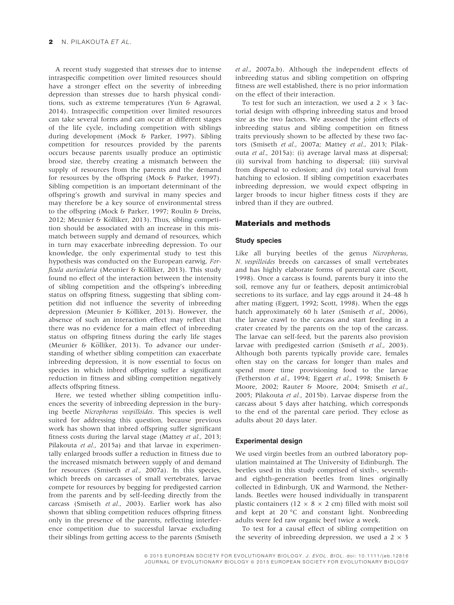A recent study suggested that stresses due to intense intraspecific competition over limited resources should have a stronger effect on the severity of inbreeding depression than stresses due to harsh physical conditions, such as extreme temperatures (Yun & Agrawal, 2014). Intraspecific competition over limited resources can take several forms and can occur at different stages of the life cycle, including competition with siblings during development (Mock & Parker, 1997). Sibling competition for resources provided by the parents occurs because parents usually produce an optimistic brood size, thereby creating a mismatch between the supply of resources from the parents and the demand for resources by the offspring (Mock & Parker, 1997). Sibling competition is an important determinant of the offspring's growth and survival in many species and may therefore be a key source of environmental stress to the offspring (Mock & Parker, 1997; Roulin & Dreiss, 2012; Meunier & Kölliker, 2013). Thus, sibling competition should be associated with an increase in this mismatch between supply and demand of resources, which in turn may exacerbate inbreeding depression. To our knowledge, the only experimental study to test this hypothesis was conducted on the European earwig, Forficula auricularia (Meunier & Kölliker, 2013). This study found no effect of the interaction between the intensity of sibling competition and the offspring's inbreeding status on offspring fitness, suggesting that sibling competition did not influence the severity of inbreeding depression (Meunier & Kölliker, 2013). However, the absence of such an interaction effect may reflect that there was no evidence for a main effect of inbreeding status on offspring fitness during the early life stages (Meunier & Kölliker, 2013). To advance our understanding of whether sibling competition can exacerbate inbreeding depression, it is now essential to focus on species in which inbred offspring suffer a significant reduction in fitness and sibling competition negatively affects offspring fitness.

Here, we tested whether sibling competition influences the severity of inbreeding depression in the burying beetle Nicrophorus vespilloides. This species is well suited for addressing this question, because previous work has shown that inbred offspring suffer significant fitness costs during the larval stage (Mattey et al., 2013; Pilakouta et al., 2015a) and that larvae in experimentally enlarged broods suffer a reduction in fitness due to the increased mismatch between supply of and demand for resources (Smiseth et al., 2007a). In this species, which breeds on carcasses of small vertebrates, larvae compete for resources by begging for predigested carrion from the parents and by self-feeding directly from the carcass (Smiseth et al., 2003). Earlier work has also shown that sibling competition reduces offspring fitness only in the presence of the parents, reflecting interference competition due to successful larvae excluding their siblings from getting access to the parents (Smiseth

et al., 2007a,b). Although the independent effects of inbreeding status and sibling competition on offspring fitness are well established, there is no prior information on the effect of their interaction.

To test for such an interaction, we used a  $2 \times 3$  factorial design with offspring inbreeding status and brood size as the two factors. We assessed the joint effects of inbreeding status and sibling competition on fitness traits previously shown to be affected by these two factors (Smiseth et al., 2007a; Mattey et al., 2013; Pilakouta et al., 2015a): (i) average larval mass at dispersal; (ii) survival from hatching to dispersal; (iii) survival from dispersal to eclosion; and (iv) total survival from hatching to eclosion. If sibling competition exacerbates inbreeding depression, we would expect offspring in larger broods to incur higher fitness costs if they are inbred than if they are outbred.

## Materials and methods

#### Study species

Like all burying beetles of the genus Nicrophorus, N. vespilloides breeds on carcasses of small vertebrates and has highly elaborate forms of parental care (Scott, 1998). Once a carcass is found, parents bury it into the soil, remove any fur or feathers, deposit antimicrobial secretions to its surface, and lay eggs around it 24–48 h after mating (Eggert, 1992; Scott, 1998). When the eggs hatch approximately 60 h later (Smiseth et al., 2006), the larvae crawl to the carcass and start feeding in a crater created by the parents on the top of the carcass. The larvae can self-feed, but the parents also provision larvae with predigested carrion (Smiseth et al., 2003). Although both parents typically provide care, females often stay on the carcass for longer than males and spend more time provisioning food to the larvae (Fetherston et al., 1994; Eggert et al., 1998; Smiseth & Moore, 2002; Rauter & Moore, 2004; Smiseth et al., 2005; Pilakouta et al., 2015b). Larvae disperse from the carcass about 5 days after hatching, which corresponds to the end of the parental care period. They eclose as adults about 20 days later.

#### Experimental design

We used virgin beetles from an outbred laboratory population maintained at The University of Edinburgh. The beetles used in this study comprised of sixth-, seventhand eighth-generation beetles from lines originally collected in Edinburgh, UK and Warmond, the Netherlands. Beetles were housed individually in transparent plastic containers (12  $\times$  8  $\times$  2 cm) filled with moist soil and kept at 20 °C and constant light. Nonbreeding adults were fed raw organic beef twice a week.

To test for a causal effect of sibling competition on the severity of inbreeding depression, we used a  $2 \times 3$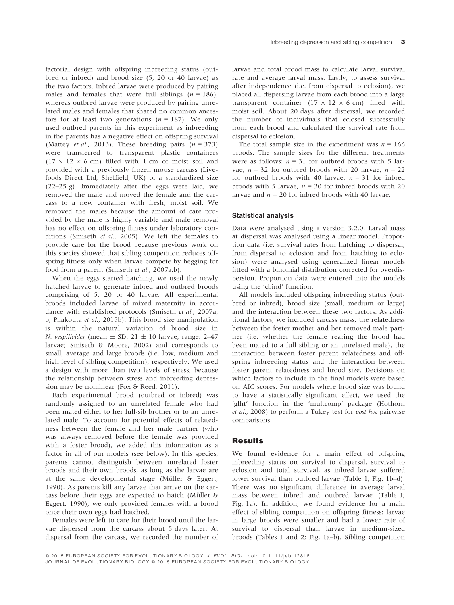factorial design with offspring inbreeding status (outbred or inbred) and brood size (5, 20 or 40 larvae) as the two factors. Inbred larvae were produced by pairing males and females that were full siblings ( $n = 186$ ), whereas outbred larvae were produced by pairing unrelated males and females that shared no common ancestors for at least two generations ( $n = 187$ ). We only used outbred parents in this experiment as inbreeding in the parents has a negative effect on offspring survival (Mattey *et al.*, 2013). These breeding pairs  $(n = 373)$ were transferred to transparent plastic containers  $(17 \times 12 \times 6$  cm) filled with 1 cm of moist soil and provided with a previously frozen mouse carcass (Livefoods Direct Ltd, Sheffield, UK) of a standardized size (22–25 g). Immediately after the eggs were laid, we removed the male and moved the female and the carcass to a new container with fresh, moist soil. We removed the males because the amount of care provided by the male is highly variable and male removal has no effect on offspring fitness under laboratory conditions (Smiseth et al., 2005). We left the females to provide care for the brood because previous work on this species showed that sibling competition reduces offspring fitness only when larvae compete by begging for food from a parent (Smiseth et al., 2007a,b).

When the eggs started hatching, we used the newly hatched larvae to generate inbred and outbred broods comprising of 5, 20 or 40 larvae. All experimental broods included larvae of mixed maternity in accordance with established protocols (Smiseth et al., 2007a, b; Pilakouta et al., 2015b). This brood size manipulation is within the natural variation of brood size in N. vespilloides (mean  $\pm$  SD: 21  $\pm$  10 larvae, range: 2–47 larvae; Smiseth & Moore, 2002) and corresponds to small, average and large broods (i.e. low, medium and high level of sibling competition), respectively. We used a design with more than two levels of stress, because the relationship between stress and inbreeding depression may be nonlinear (Fox & Reed, 2011).

Each experimental brood (outbred or inbred) was randomly assigned to an unrelated female who had been mated either to her full-sib brother or to an unrelated male. To account for potential effects of relatedness between the female and her male partner (who was always removed before the female was provided with a foster brood), we added this information as a factor in all of our models (see below). In this species, parents cannot distinguish between unrelated foster broods and their own broods, as long as the larvae are at the same developmental stage (Müller  $6$  Eggert, 1990). As parents kill any larvae that arrive on the carcass before their eggs are expected to hatch (Müller  $6$ Eggert, 1990), we only provided females with a brood once their own eggs had hatched.

Females were left to care for their brood until the larvae dispersed from the carcass about 5 days later. At dispersal from the carcass, we recorded the number of larvae and total brood mass to calculate larval survival rate and average larval mass. Lastly, to assess survival after independence (i.e. from dispersal to eclosion), we placed all dispersing larvae from each brood into a large transparent container  $(17 \times 12 \times 6 \text{ cm})$  filled with moist soil. About 20 days after dispersal, we recorded the number of individuals that eclosed successfully from each brood and calculated the survival rate from dispersal to eclosion.

The total sample size in the experiment was  $n = 166$ broods. The sample sizes for the different treatments were as follows:  $n = 31$  for outbred broods with 5 larvae,  $n = 32$  for outbred broods with 20 larvae,  $n = 22$ for outbred broods with 40 larvae,  $n = 31$  for inbred broods with 5 larvae,  $n = 30$  for inbred broods with 20 larvae and  $n = 20$  for inbred broods with 40 larvae.

#### Statistical analysis

Data were analysed using <sup>R</sup> version 3.2.0. Larval mass at dispersal was analysed using a linear model. Proportion data (i.e. survival rates from hatching to dispersal, from dispersal to eclosion and from hatching to eclosion) were analysed using generalized linear models fitted with a binomial distribution corrected for overdispersion. Proportion data were entered into the models using the 'cbind' function.

All models included offspring inbreeding status (outbred or inbred), brood size (small, medium or large) and the interaction between these two factors. As additional factors, we included carcass mass, the relatedness between the foster mother and her removed male partner (i.e. whether the female rearing the brood had been mated to a full sibling or an unrelated male), the interaction between foster parent relatedness and offspring inbreeding status and the interaction between foster parent relatedness and brood size. Decisions on which factors to include in the final models were based on AIC scores. For models where brood size was found to have a statistically significant effect, we used the 'glht' function in the 'multcomp' package (Hothorn et al., 2008) to perform a Tukey test for post hoc pairwise comparisons.

#### **Results**

We found evidence for a main effect of offspring inbreeding status on survival to dispersal, survival to eclosion and total survival, as inbred larvae suffered lower survival than outbred larvae (Table 1; Fig. 1b–d). There was no significant difference in average larval mass between inbred and outbred larvae (Table 1; Fig. 1a). In addition, we found evidence for a main effect of sibling competition on offspring fitness: larvae in large broods were smaller and had a lower rate of survival to dispersal than larvae in medium-sized broods (Tables 1 and 2; Fig. 1a–b). Sibling competition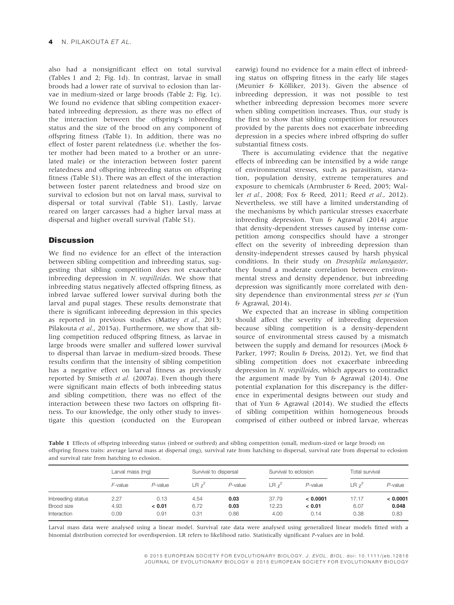also had a nonsignificant effect on total survival (Tables 1 and 2; Fig. 1d). In contrast, larvae in small broods had a lower rate of survival to eclosion than larvae in medium-sized or large broods (Table 2; Fig. 1c). We found no evidence that sibling competition exacerbated inbreeding depression, as there was no effect of the interaction between the offspring's inbreeding status and the size of the brood on any component of offspring fitness (Table 1). In addition, there was no effect of foster parent relatedness (i.e. whether the foster mother had been mated to a brother or an unrelated male) or the interaction between foster parent relatedness and offspring inbreeding status on offspring fitness (Table S1). There was an effect of the interaction between foster parent relatedness and brood size on survival to eclosion but not on larval mass, survival to dispersal or total survival (Table S1). Lastly, larvae reared on larger carcasses had a higher larval mass at dispersal and higher overall survival (Table S1).

# **Discussion**

We find no evidence for an effect of the interaction between sibling competition and inbreeding status, suggesting that sibling competition does not exacerbate inbreeding depression in N. vespilloides. We show that inbreeding status negatively affected offspring fitness, as inbred larvae suffered lower survival during both the larval and pupal stages. These results demonstrate that there is significant inbreeding depression in this species as reported in previous studies (Mattey et al., 2013; Pilakouta et al., 2015a). Furthermore, we show that sibling competition reduced offspring fitness, as larvae in large broods were smaller and suffered lower survival to dispersal than larvae in medium-sized broods. These results confirm that the intensity of sibling competition has a negative effect on larval fitness as previously reported by Smiseth et al. (2007a). Even though there were significant main effects of both inbreeding status and sibling competition, there was no effect of the interaction between these two factors on offspring fitness. To our knowledge, the only other study to investigate this question (conducted on the European

earwig) found no evidence for a main effect of inbreeding status on offspring fitness in the early life stages (Meunier & Kölliker, 2013). Given the absence of inbreeding depression, it was not possible to test whether inbreeding depression becomes more severe when sibling competition increases. Thus, our study is the first to show that sibling competition for resources provided by the parents does not exacerbate inbreeding depression in a species where inbred offspring do suffer substantial fitness costs.

There is accumulating evidence that the negative effects of inbreeding can be intensified by a wide range of environmental stresses, such as parasitism, starvation, population density, extreme temperatures and exposure to chemicals (Armbruster & Reed, 2005; Waller et al., 2008; Fox & Reed, 2011; Reed et al., 2012). Nevertheless, we still have a limited understanding of the mechanisms by which particular stresses exacerbate inbreeding depression. Yun & Agrawal (2014) argue that density-dependent stresses caused by intense competition among conspecifics should have a stronger effect on the severity of inbreeding depression than density-independent stresses caused by harsh physical conditions. In their study on Drosophila melanogaster, they found a moderate correlation between environmental stress and density dependence, but inbreeding depression was significantly more correlated with density dependence than environmental stress per se (Yun & Agrawal, 2014).

We expected that an increase in sibling competition should affect the severity of inbreeding depression because sibling competition is a density-dependent source of environmental stress caused by a mismatch between the supply and demand for resources (Mock & Parker, 1997; Roulin & Dreiss, 2012). Yet, we find that sibling competition does not exacerbate inbreeding depression in N. vespilloides, which appears to contradict the argument made by Yun & Agrawal (2014). One potential explanation for this discrepancy is the difference in experimental designs between our study and that of Yun & Agrawal (2014). We studied the effects of sibling competition within homogeneous broods comprised of either outbred or inbred larvae, whereas

Table 1 Effects of offspring inbreeding status (inbred or outbred) and sibling competition (small, medium-sized or large brood) on offspring fitness traits: average larval mass at dispersal (mg), survival rate from hatching to dispersal, survival rate from dispersal to eclosion and survival rate from hatching to eclosion.

|                   | Larval mass (mg) |            | Survival to dispersal |            | Survival to eclosion |            | Total survival |            |  |
|-------------------|------------------|------------|-----------------------|------------|----------------------|------------|----------------|------------|--|
|                   | F-value          | $P$ -value | $LR y^2$              | $P$ -value | $LR \gamma^2$        | $P$ -value | $LR \gamma^2$  | $P$ -value |  |
| Inbreeding status | 2.27             | 0.13       | 4.54                  | 0.03       | 37.79                | < 0.0001   | 17.17          | < 0.0001   |  |
| Brood size        | 4.93             | < 0.01     | 6.72                  | 0.03       | 12.23                | < 0.01     | 6.07           | 0.048      |  |
| Interaction       | 0.09             | 0.91       | 0.31                  | 0.86       | 4.00                 | 0.14       | 0.38           | 0.83       |  |

Larval mass data were analysed using a linear model. Survival rate data were analysed using generalized linear models fitted with a binomial distribution corrected for overdispersion. LR refers to likelihood ratio. Statistically significant P-values are in bold.

> ª 2015 EUROPEAN SOCIETY FOR EVOLUTIONARY BIOLOGY. J. EVOL. BIOL. doi: 10.1111/jeb.12816 JOURNAL OF EVOLUTIONARY BIOLOGY @ 2015 EUROPEAN SOCIETY FOR EVOLUTIONARY BIOLOGY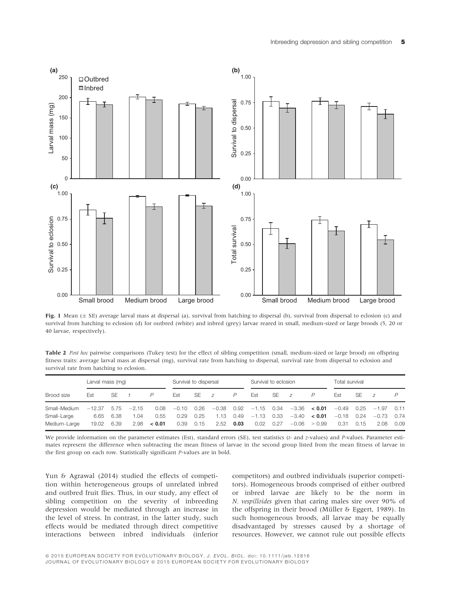

Fig. 1 Mean ( $\pm$  SE) average larval mass at dispersal (a), survival from hatching to dispersal (b), survival from dispersal to eclosion (c) and survival from hatching to eclosion (d) for outbred (white) and inbred (grey) larvae reared in small, medium-sized or large broods (5, 20 or 40 larvae, respectively).

Table 2 Post hoc pairwise comparisons (Tukey test) for the effect of sibling competition (small, medium-sized or large brood) on offspring fitness traits: average larval mass at dispersal (mg), survival rate from hatching to dispersal, survival rate from dispersal to eclosion and survival rate from hatching to eclosion.

|              | Larval mass (mg) |           |         | Survival to dispersal |         |      | Survival to eclosion |                |                      |           | Total survival |                  |         |           |                |      |
|--------------|------------------|-----------|---------|-----------------------|---------|------|----------------------|----------------|----------------------|-----------|----------------|------------------|---------|-----------|----------------|------|
| Brood size   | Est              | SF        |         | P                     | Est     | SE   | $\overline{z}$       | $\overline{P}$ | Est                  | <b>SE</b> | $\overline{z}$ | P                | Est     | <b>SE</b> | $\overline{z}$ |      |
| Small-Medium | $-12.37$         | 5.75      | $-2.15$ | 0.08                  | $-0.10$ | 0.26 |                      |                | $-0.38$ 0.92 $-1.15$ | 0.34      |                | $-3.36$ < 0.01   | $-0.49$ |           | $0.25 -1.97$   | 0.11 |
| Small-Large  |                  | 6.65 6.38 | L.O4    | 0.55                  | 0.29    | 0.25 | 1.13                 | 0.49           | $-1.13$              | 0.33      |                | $-3.40 \le 0.01$ | $-0.18$ | 0.24      | $-0.73$        | 0.74 |
| Medium-Large | 19.02            | 6.39      | 2.98    | < 0.01                | 0.39    | 0.15 | 2.52                 | 0.03           | 0.02                 | 0.27      | $-0.06$        | > 0.99           | 0.31    | 0.15      | 2.08           | 0.09 |

We provide information on the parameter estimates (Est), standard errors (SE), test statistics (t- and z-values) and P-values. Parameter estimates represent the difference when subtracting the mean fitness of larvae in the second group listed from the mean fitness of larvae in the first group on each row. Statistically significant P-values are in bold.

Yun & Agrawal (2014) studied the effects of competition within heterogeneous groups of unrelated inbred and outbred fruit flies. Thus, in our study, any effect of sibling competition on the severity of inbreeding depression would be mediated through an increase in the level of stress. In contrast, in the latter study, such effects would be mediated through direct competitive interactions between inbred individuals (inferior

competitors) and outbred individuals (superior competitors). Homogeneous broods comprised of either outbred or inbred larvae are likely to be the norm in N. vespilloides given that caring males sire over 90% of the offspring in their brood (Müller & Eggert, 1989). In such homogeneous broods, all larvae may be equally disadvantaged by stresses caused by a shortage of resources. However, we cannot rule out possible effects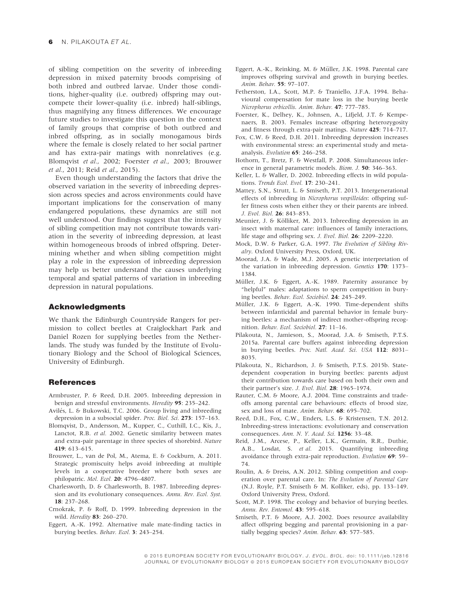of sibling competition on the severity of inbreeding depression in mixed paternity broods comprising of both inbred and outbred larvae. Under those conditions, higher-quality (i.e. outbred) offspring may outcompete their lower-quality (i.e. inbred) half-siblings, thus magnifying any fitness differences. We encourage future studies to investigate this question in the context of family groups that comprise of both outbred and inbred offspring, as in socially monogamous birds where the female is closely related to her social partner and has extra-pair matings with nonrelatives (e.g. Blomqvist et al., 2002; Foerster et al., 2003; Brouwer et al., 2011; Reid et al., 2015).

Even though understanding the factors that drive the observed variation in the severity of inbreeding depression across species and across environments could have important implications for the conservation of many endangered populations, these dynamics are still not well understood. Our findings suggest that the intensity of sibling competition may not contribute towards variation in the severity of inbreeding depression, at least within homogeneous broods of inbred offspring. Determining whether and when sibling competition might play a role in the expression of inbreeding depression may help us better understand the causes underlying temporal and spatial patterns of variation in inbreeding depression in natural populations.

#### Acknowledgments

We thank the Edinburgh Countryside Rangers for permission to collect beetles at Craiglockhart Park and Daniel Rozen for supplying beetles from the Netherlands. The study was funded by the Institute of Evolutionary Biology and the School of Biological Sciences, University of Edinburgh.

# **References**

- Armbruster, P. & Reed, D.H. 2005. Inbreeding depression in benign and stressful environments. Heredity 95: 235–242.
- Avilés, L. & Bukowski, T.C. 2006. Group living and inbreeding depression in a subsocial spider. Proc. Biol. Sci. 273: 157–163.
- Blomqvist, D., Andersson, M., Kupper, C., Cuthill, I.C., Kis, J., Lanctot, R.B. et al. 2002. Genetic similarity between mates and extra-pair parentage in three species of shorebird. Nature 419: 613–615.
- Brouwer, L., van de Pol, M., Atema, E. & Cockburn, A. 2011. Strategic promiscuity helps avoid inbreeding at multiple levels in a cooperative breeder where both sexes are philopatric. Mol. Ecol. 20: 4796–4807.
- Charlesworth, D. & Charlesworth, B. 1987. Inbreeding depression and its evolutionary consequences. Annu. Rev. Ecol. Syst. 18: 237–268.
- Crnokrak, P. & Roff, D. 1999. Inbreeding depression in the wild. Heredity 83: 260–270.
- Eggert, A.-K. 1992. Alternative male mate-finding tactics in burying beetles. Behav. Ecol. 3: 243–254.
- Eggert, A.-K., Reinking, M. & Müller, J.K. 1998. Parental care improves offspring survival and growth in burying beetles. Anim. Behav. 55: 97–107.
- Fetherston, I.A., Scott, M.P. & Traniello, J.F.A. 1994. Behavioural compensation for mate loss in the burying beetle Nicrophorus orbicollis. Anim. Behav. 47: 777–785.
- Foerster, K., Delhey, K., Johnsen, A., Lifjeld, J.T. & Kempenaers, B. 2003. Females increase offspring heterozygosity and fitness through extra-pair matings. Nature 425: 714–717.
- Fox, C.W. & Reed, D.H. 2011. Inbreeding depression increases with environmental stress: an experimental study and metaanalysis. Evolution 65: 246–258.
- Hothorn, T., Bretz, F. & Westfall, P. 2008. Simultaneous inference in general parametric models. Biom. J. 50: 346–363.
- Keller, L. & Waller, D. 2002. Inbreeding effects in wild populations. Trends Ecol. Evol. <sup>17</sup>: 230–241.
- Mattey, S.N., Strutt, L. & Smiseth, P.T. 2013. Intergenerational effects of inbreeding in Nicrophorus vespilloides: offspring suffer fitness costs when either they or their parents are inbred. J. Evol. Biol. 26: 843–853.
- Meunier, J. & Kölliker, M. 2013. Inbreeding depression in an insect with maternal care: influences of family interactions, life stage and offspring sex. J. Evol. Biol. 26: 2209–2220.
- Mock, D.W. & Parker, G.A. 1997. The Evolution of Sibling Rivalry. Oxford University Press, Oxford, UK.
- Moorad, J.A. & Wade, M.J. 2005. A genetic interpretation of the variation in inbreeding depression. Genetics 170: 1373– 1384.
- Müller, J.K. & Eggert, A.-K. 1989. Paternity assurance by "helpful" males: adaptations to sperm competition in burying beetles. Behav. Ecol. Sociobiol. 24: 245–249.
- Müller, J.K. & Eggert, A.-K. 1990. Time-dependent shifts between infanticidal and parental behavior in female burying beetles: a mechanism of indirect mother-offspring recognition. Behav. Ecol. Sociobiol. 27: 11–16.
- Pilakouta, N., Jamieson, S., Moorad, J.A. & Smiseth, P.T.S. 2015a. Parental care buffers against inbreeding depression in burying beetles. Proc. Natl. Acad. Sci. USA 112: 8031– 8035.
- Pilakouta, N., Richardson, J. & Smiseth, P.T.S. 2015b. Statedependent cooperation in burying beetles: parents adjust their contribution towards care based on both their own and their partner's size. J. Evol. Biol. 28: 1965–1974.
- Rauter, C.M. & Moore, A.J. 2004. Time constraints and tradeoffs among parental care behaviours: effects of brood size, sex and loss of mate. Anim. Behav. 68: 695-702.
- Reed, D.H., Fox, C.W., Enders, L.S. & Kristensen, T.N. 2012. Inbreeding-stress interactions: evolutionary and conservation consequences. Ann. N. Y. Acad. Sci. 1256: 33–48.
- Reid, J.M., Arcese, P., Keller, L.K., Germain, R.R., Duthie, A.B., Losdat, S. et al. 2015. Quantifying inbreeding avoidance through extra-pair reproduction. Evolution 69: 59– 74.
- Roulin, A. & Dreiss, A.N. 2012. Sibling competition and cooperation over parental care. In: The Evolution of Parental Care (N.J. Royle, P.T. Smiseth & M. Kolliker, eds), pp. 133–149. Oxford University Press, Oxford.
- Scott, M.P. 1998. The ecology and behavior of burying beetles. Annu. Rev. Entomol. <sup>43</sup>: 595–618.
- Smiseth, P.T. & Moore, A.J. 2002. Does resource availability affect offspring begging and parental provisioning in a partially begging species? Anim. Behav. 63: 577-585.